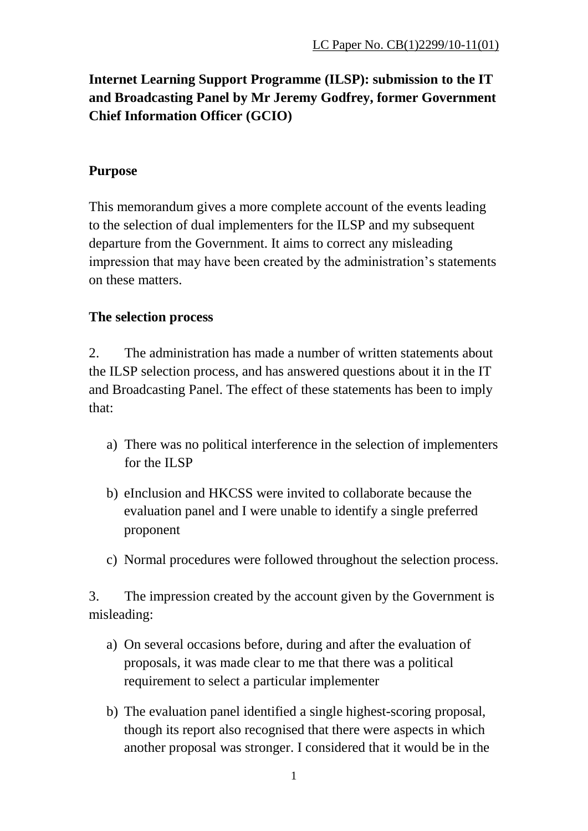# **Internet Learning Support Programme (ILSP): submission to the IT and Broadcasting Panel by Mr Jeremy Godfrey, former Government Chief Information Officer (GCIO)**

# **Purpose**

This memorandum gives a more complete account of the events leading to the selection of dual implementers for the ILSP and my subsequent departure from the Government. It aims to correct any misleading impression that may have been created by the administration's statements on these matters.

# **The selection process**

2. The administration has made a number of written statements about the ILSP selection process, and has answered questions about it in the IT and Broadcasting Panel. The effect of these statements has been to imply that:

- a) There was no political interference in the selection of implementers for the ILSP
- b) eInclusion and HKCSS were invited to collaborate because the evaluation panel and I were unable to identify a single preferred proponent
- c) Normal procedures were followed throughout the selection process.

3. The impression created by the account given by the Government is misleading:

- a) On several occasions before, during and after the evaluation of proposals, it was made clear to me that there was a political requirement to select a particular implementer
- b) The evaluation panel identified a single highest-scoring proposal, though its report also recognised that there were aspects in which another proposal was stronger. I considered that it would be in the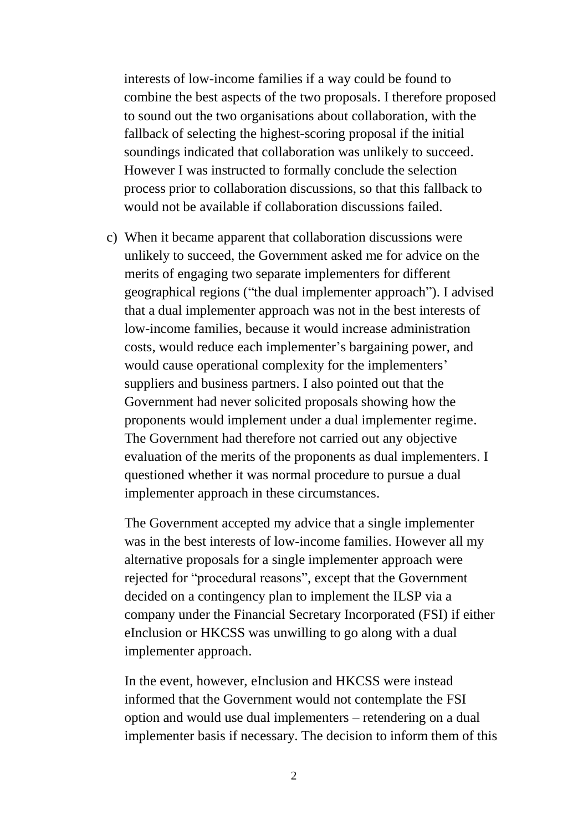interests of low-income families if a way could be found to combine the best aspects of the two proposals. I therefore proposed to sound out the two organisations about collaboration, with the fallback of selecting the highest-scoring proposal if the initial soundings indicated that collaboration was unlikely to succeed. However I was instructed to formally conclude the selection process prior to collaboration discussions, so that this fallback to would not be available if collaboration discussions failed.

c) When it became apparent that collaboration discussions were unlikely to succeed, the Government asked me for advice on the merits of engaging two separate implementers for different geographical regions ("the dual implementer approach"). I advised that a dual implementer approach was not in the best interests of low-income families, because it would increase administration costs, would reduce each implementer's bargaining power, and would cause operational complexity for the implementers' suppliers and business partners. I also pointed out that the Government had never solicited proposals showing how the proponents would implement under a dual implementer regime. The Government had therefore not carried out any objective evaluation of the merits of the proponents as dual implementers. I questioned whether it was normal procedure to pursue a dual implementer approach in these circumstances.

The Government accepted my advice that a single implementer was in the best interests of low-income families. However all my alternative proposals for a single implementer approach were rejected for "procedural reasons", except that the Government decided on a contingency plan to implement the ILSP via a company under the Financial Secretary Incorporated (FSI) if either eInclusion or HKCSS was unwilling to go along with a dual implementer approach.

In the event, however, eInclusion and HKCSS were instead informed that the Government would not contemplate the FSI option and would use dual implementers – retendering on a dual implementer basis if necessary. The decision to inform them of this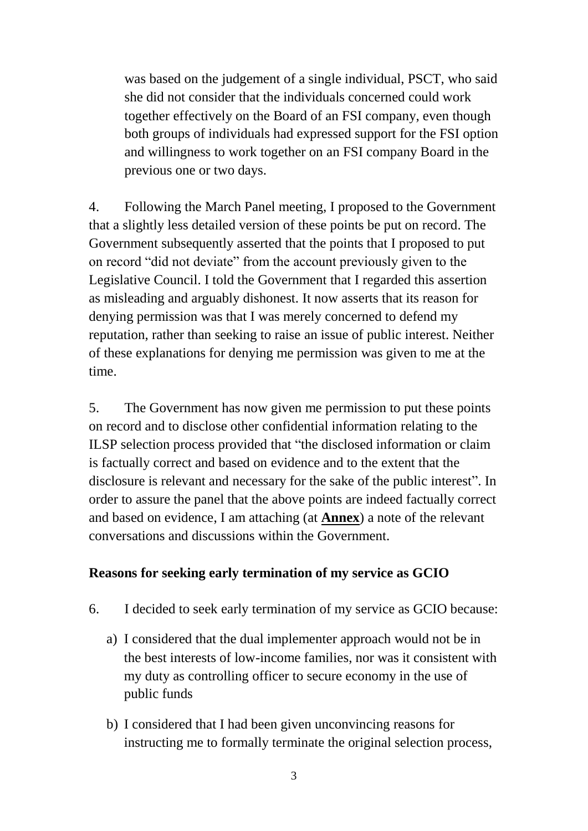was based on the judgement of a single individual, PSCT, who said she did not consider that the individuals concerned could work together effectively on the Board of an FSI company, even though both groups of individuals had expressed support for the FSI option and willingness to work together on an FSI company Board in the previous one or two days.

4. Following the March Panel meeting, I proposed to the Government that a slightly less detailed version of these points be put on record. The Government subsequently asserted that the points that I proposed to put on record "did not deviate" from the account previously given to the Legislative Council. I told the Government that I regarded this assertion as misleading and arguably dishonest. It now asserts that its reason for denying permission was that I was merely concerned to defend my reputation, rather than seeking to raise an issue of public interest. Neither of these explanations for denying me permission was given to me at the time.

5. The Government has now given me permission to put these points on record and to disclose other confidential information relating to the ILSP selection process provided that "the disclosed information or claim is factually correct and based on evidence and to the extent that the disclosure is relevant and necessary for the sake of the public interest". In order to assure the panel that the above points are indeed factually correct and based on evidence, I am attaching (at **Annex**) a note of the relevant conversations and discussions within the Government.

#### **Reasons for seeking early termination of my service as GCIO**

- 6. I decided to seek early termination of my service as GCIO because:
	- a) I considered that the dual implementer approach would not be in the best interests of low-income families, nor was it consistent with my duty as controlling officer to secure economy in the use of public funds
	- b) I considered that I had been given unconvincing reasons for instructing me to formally terminate the original selection process,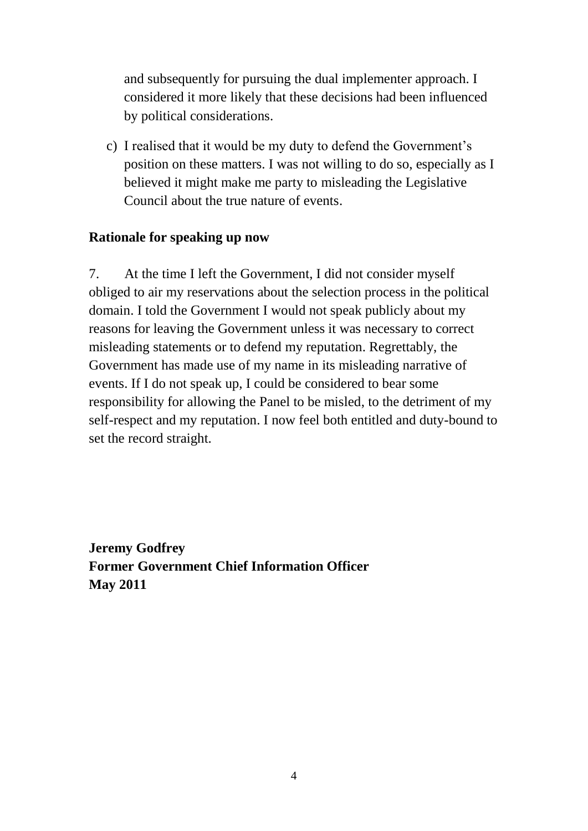and subsequently for pursuing the dual implementer approach. I considered it more likely that these decisions had been influenced by political considerations.

c) I realised that it would be my duty to defend the Government's position on these matters. I was not willing to do so, especially as I believed it might make me party to misleading the Legislative Council about the true nature of events.

#### **Rationale for speaking up now**

7. At the time I left the Government, I did not consider myself obliged to air my reservations about the selection process in the political domain. I told the Government I would not speak publicly about my reasons for leaving the Government unless it was necessary to correct misleading statements or to defend my reputation. Regrettably, the Government has made use of my name in its misleading narrative of events. If I do not speak up, I could be considered to bear some responsibility for allowing the Panel to be misled, to the detriment of my self-respect and my reputation. I now feel both entitled and duty-bound to set the record straight.

**Jeremy Godfrey Former Government Chief Information Officer May 2011**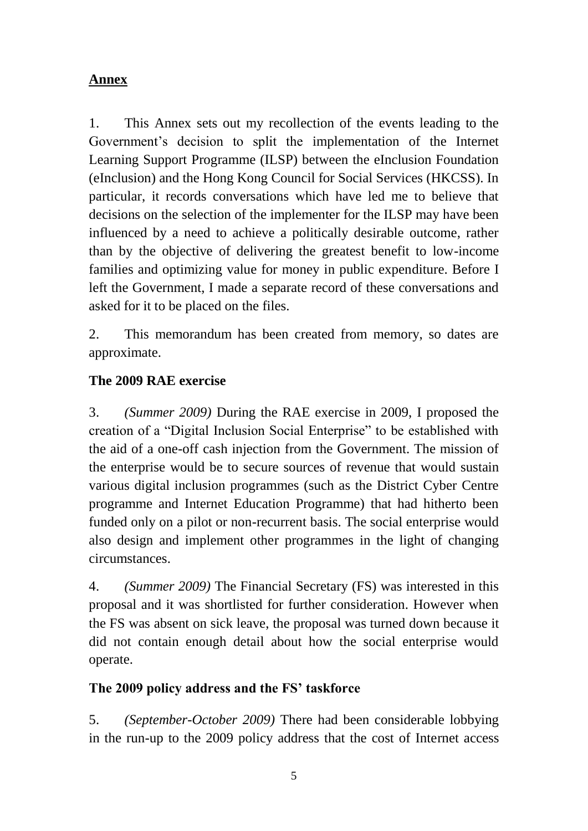## **Annex**

1. This Annex sets out my recollection of the events leading to the Government's decision to split the implementation of the Internet Learning Support Programme (ILSP) between the eInclusion Foundation (eInclusion) and the Hong Kong Council for Social Services (HKCSS). In particular, it records conversations which have led me to believe that decisions on the selection of the implementer for the ILSP may have been influenced by a need to achieve a politically desirable outcome, rather than by the objective of delivering the greatest benefit to low-income families and optimizing value for money in public expenditure. Before I left the Government, I made a separate record of these conversations and asked for it to be placed on the files.

2. This memorandum has been created from memory, so dates are approximate.

# **The 2009 RAE exercise**

3. *(Summer 2009)* During the RAE exercise in 2009, I proposed the creation of a "Digital Inclusion Social Enterprise" to be established with the aid of a one-off cash injection from the Government. The mission of the enterprise would be to secure sources of revenue that would sustain various digital inclusion programmes (such as the District Cyber Centre programme and Internet Education Programme) that had hitherto been funded only on a pilot or non-recurrent basis. The social enterprise would also design and implement other programmes in the light of changing circumstances.

4. *(Summer 2009)* The Financial Secretary (FS) was interested in this proposal and it was shortlisted for further consideration. However when the FS was absent on sick leave, the proposal was turned down because it did not contain enough detail about how the social enterprise would operate.

### **The 2009 policy address and the FS' taskforce**

5. *(September-October 2009)* There had been considerable lobbying in the run-up to the 2009 policy address that the cost of Internet access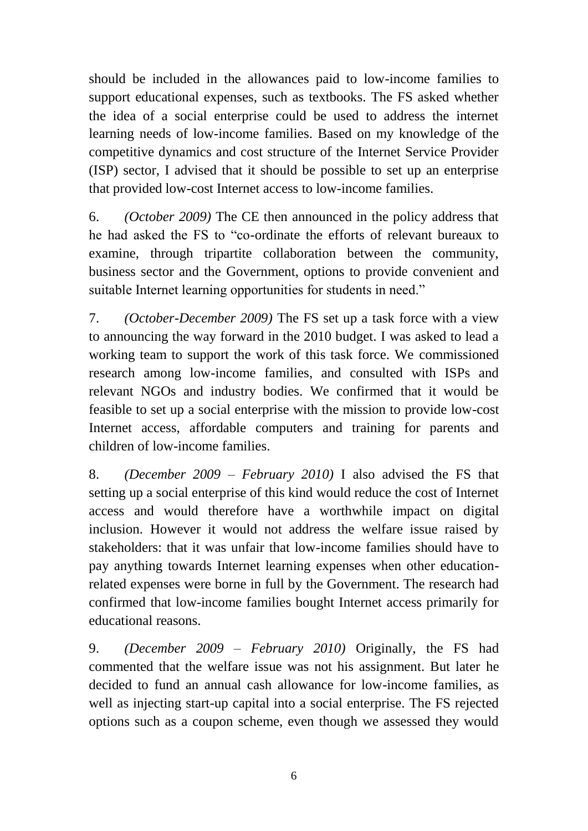should be included in the allowances paid to low-income families to support educational expenses, such as textbooks. The FS asked whether the idea of a social enterprise could be used to address the internet learning needs of low-income families. Based on my knowledge of the competitive dynamics and cost structure of the Internet Service Provider (ISP) sector, I advised that it should be possible to set up an enterprise that provided low-cost Internet access to low-income families.

6. *(October 2009)* The CE then announced in the policy address that he had asked the FS to "co-ordinate the efforts of relevant bureaux to examine, through tripartite collaboration between the community, business sector and the Government, options to provide convenient and suitable Internet learning opportunities for students in need."

7. *(October-December 2009)* The FS set up a task force with a view to announcing the way forward in the 2010 budget. I was asked to lead a working team to support the work of this task force. We commissioned research among low-income families, and consulted with ISPs and relevant NGOs and industry bodies. We confirmed that it would be feasible to set up a social enterprise with the mission to provide low-cost Internet access, affordable computers and training for parents and children of low-income families.

8. *(December 2009 – February 2010)* I also advised the FS that setting up a social enterprise of this kind would reduce the cost of Internet access and would therefore have a worthwhile impact on digital inclusion. However it would not address the welfare issue raised by stakeholders: that it was unfair that low-income families should have to pay anything towards Internet learning expenses when other educationrelated expenses were borne in full by the Government. The research had confirmed that low-income families bought Internet access primarily for educational reasons.

9. *(December 2009 – February 2010)* Originally, the FS had commented that the welfare issue was not his assignment. But later he decided to fund an annual cash allowance for low-income families, as well as injecting start-up capital into a social enterprise. The FS rejected options such as a coupon scheme, even though we assessed they would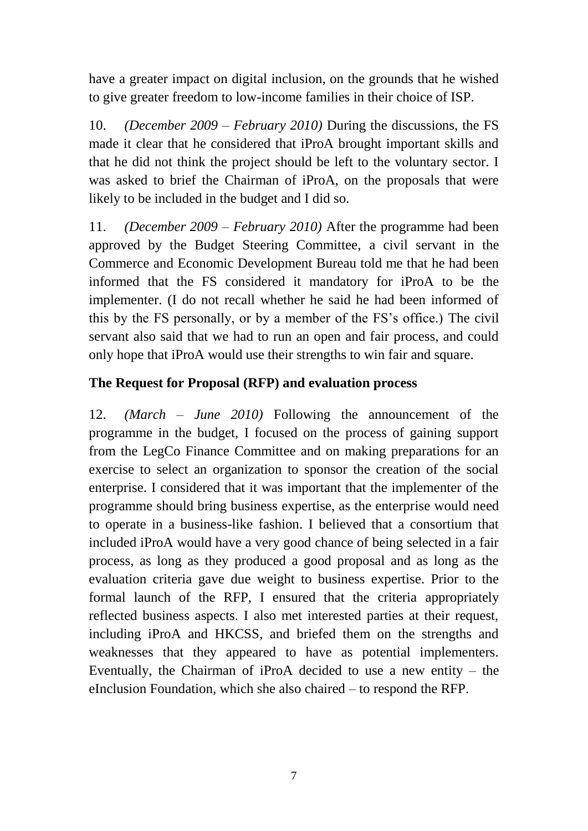have a greater impact on digital inclusion, on the grounds that he wished to give greater freedom to low-income families in their choice of ISP.

10. *(December 2009 – February 2010)* During the discussions, the FS made it clear that he considered that iProA brought important skills and that he did not think the project should be left to the voluntary sector. I was asked to brief the Chairman of iProA, on the proposals that were likely to be included in the budget and I did so.

11. *(December 2009 – February 2010)* After the programme had been approved by the Budget Steering Committee, a civil servant in the Commerce and Economic Development Bureau told me that he had been informed that the FS considered it mandatory for iProA to be the implementer. (I do not recall whether he said he had been informed of this by the FS personally, or by a member of the FS's office.) The civil servant also said that we had to run an open and fair process, and could only hope that iProA would use their strengths to win fair and square.

# **The Request for Proposal (RFP) and evaluation process**

12. *(March – June 2010)* Following the announcement of the programme in the budget, I focused on the process of gaining support from the LegCo Finance Committee and on making preparations for an exercise to select an organization to sponsor the creation of the social enterprise. I considered that it was important that the implementer of the programme should bring business expertise, as the enterprise would need to operate in a business-like fashion. I believed that a consortium that included iProA would have a very good chance of being selected in a fair process, as long as they produced a good proposal and as long as the evaluation criteria gave due weight to business expertise. Prior to the formal launch of the RFP, I ensured that the criteria appropriately reflected business aspects. I also met interested parties at their request, including iProA and HKCSS, and briefed them on the strengths and weaknesses that they appeared to have as potential implementers. Eventually, the Chairman of iProA decided to use a new entity – the eInclusion Foundation, which she also chaired – to respond the RFP.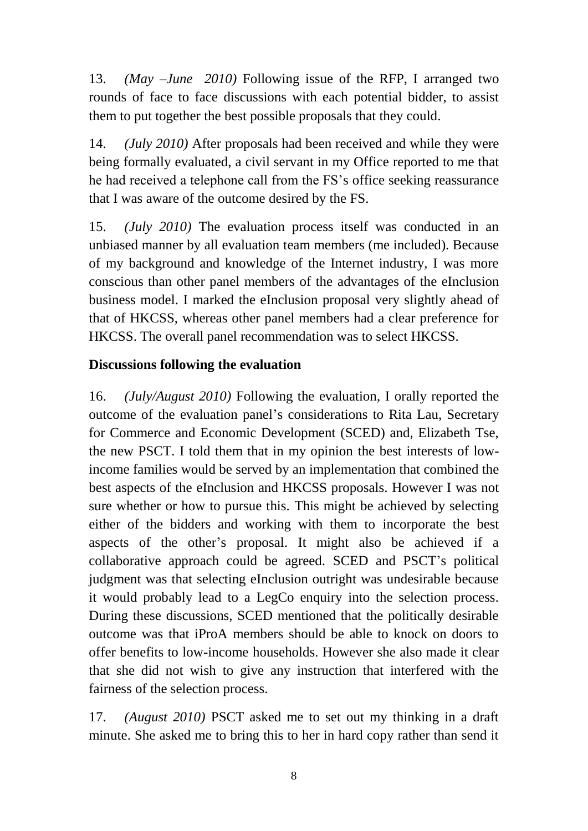13. *(May –June 2010)* Following issue of the RFP, I arranged two rounds of face to face discussions with each potential bidder, to assist them to put together the best possible proposals that they could.

14. *(July 2010)* After proposals had been received and while they were being formally evaluated, a civil servant in my Office reported to me that he had received a telephone call from the FS's office seeking reassurance that I was aware of the outcome desired by the FS.

15. *(July 2010)* The evaluation process itself was conducted in an unbiased manner by all evaluation team members (me included). Because of my background and knowledge of the Internet industry, I was more conscious than other panel members of the advantages of the eInclusion business model. I marked the eInclusion proposal very slightly ahead of that of HKCSS, whereas other panel members had a clear preference for HKCSS. The overall panel recommendation was to select HKCSS.

# **Discussions following the evaluation**

16. *(July/August 2010)* Following the evaluation, I orally reported the outcome of the evaluation panel's considerations to Rita Lau, Secretary for Commerce and Economic Development (SCED) and, Elizabeth Tse, the new PSCT. I told them that in my opinion the best interests of lowincome families would be served by an implementation that combined the best aspects of the eInclusion and HKCSS proposals. However I was not sure whether or how to pursue this. This might be achieved by selecting either of the bidders and working with them to incorporate the best aspects of the other's proposal. It might also be achieved if a collaborative approach could be agreed. SCED and PSCT's political judgment was that selecting eInclusion outright was undesirable because it would probably lead to a LegCo enquiry into the selection process. During these discussions, SCED mentioned that the politically desirable outcome was that iProA members should be able to knock on doors to offer benefits to low-income households. However she also made it clear that she did not wish to give any instruction that interfered with the fairness of the selection process.

17. *(August 2010)* PSCT asked me to set out my thinking in a draft minute. She asked me to bring this to her in hard copy rather than send it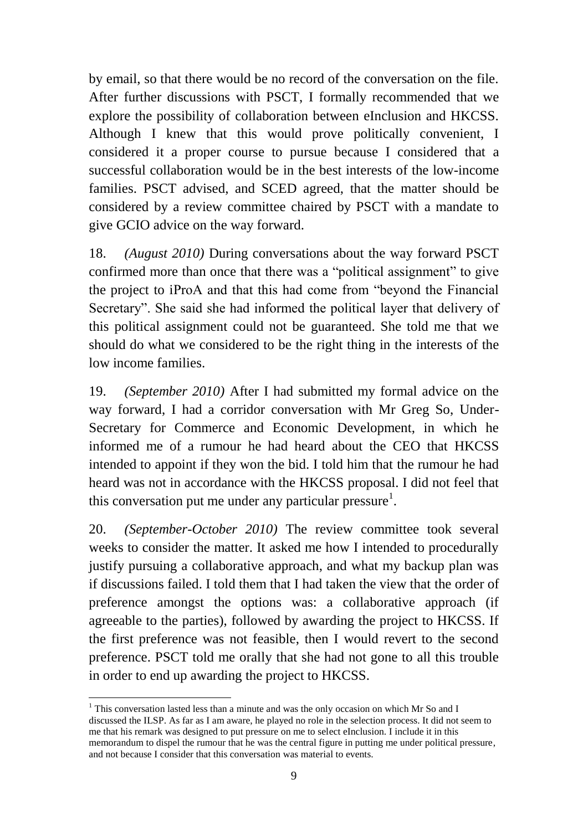by email, so that there would be no record of the conversation on the file. After further discussions with PSCT, I formally recommended that we explore the possibility of collaboration between eInclusion and HKCSS. Although I knew that this would prove politically convenient, I considered it a proper course to pursue because I considered that a successful collaboration would be in the best interests of the low-income families. PSCT advised, and SCED agreed, that the matter should be considered by a review committee chaired by PSCT with a mandate to give GCIO advice on the way forward.

18. *(August 2010)* During conversations about the way forward PSCT confirmed more than once that there was a "political assignment" to give the project to iProA and that this had come from "beyond the Financial Secretary". She said she had informed the political layer that delivery of this political assignment could not be guaranteed. She told me that we should do what we considered to be the right thing in the interests of the low income families.

19. *(September 2010)* After I had submitted my formal advice on the way forward, I had a corridor conversation with Mr Greg So, Under-Secretary for Commerce and Economic Development, in which he informed me of a rumour he had heard about the CEO that HKCSS intended to appoint if they won the bid. I told him that the rumour he had heard was not in accordance with the HKCSS proposal. I did not feel that this conversation put me under any particular pressure<sup>1</sup>.

20. *(September-October 2010)* The review committee took several weeks to consider the matter. It asked me how I intended to procedurally justify pursuing a collaborative approach, and what my backup plan was if discussions failed. I told them that I had taken the view that the order of preference amongst the options was: a collaborative approach (if agreeable to the parties), followed by awarding the project to HKCSS. If the first preference was not feasible, then I would revert to the second preference. PSCT told me orally that she had not gone to all this trouble in order to end up awarding the project to HKCSS.

<sup>&</sup>lt;u>.</u> <sup>1</sup> This conversation lasted less than a minute and was the only occasion on which Mr So and I discussed the ILSP. As far as I am aware, he played no role in the selection process. It did not seem to me that his remark was designed to put pressure on me to select eInclusion. I include it in this memorandum to dispel the rumour that he was the central figure in putting me under political pressure, and not because I consider that this conversation was material to events.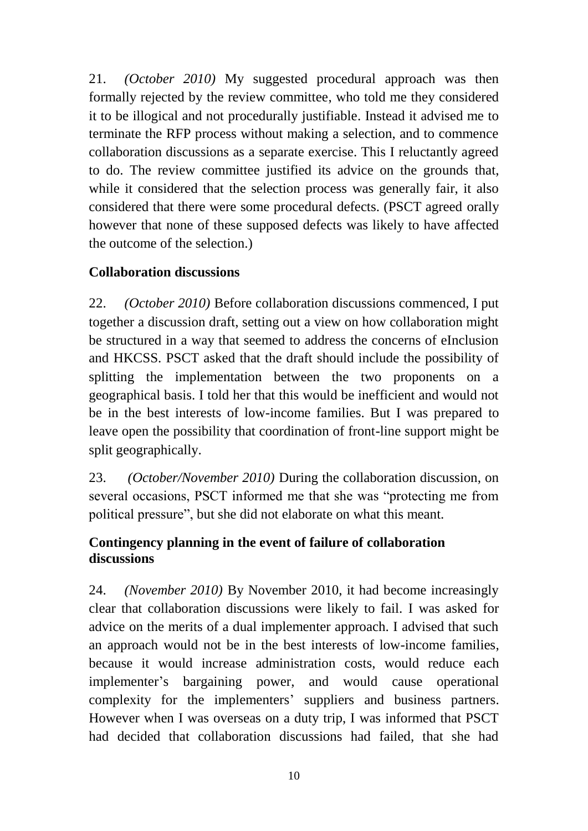21. *(October 2010)* My suggested procedural approach was then formally rejected by the review committee, who told me they considered it to be illogical and not procedurally justifiable. Instead it advised me to terminate the RFP process without making a selection, and to commence collaboration discussions as a separate exercise. This I reluctantly agreed to do. The review committee justified its advice on the grounds that, while it considered that the selection process was generally fair, it also considered that there were some procedural defects. (PSCT agreed orally however that none of these supposed defects was likely to have affected the outcome of the selection.)

# **Collaboration discussions**

22. *(October 2010)* Before collaboration discussions commenced, I put together a discussion draft, setting out a view on how collaboration might be structured in a way that seemed to address the concerns of eInclusion and HKCSS. PSCT asked that the draft should include the possibility of splitting the implementation between the two proponents on a geographical basis. I told her that this would be inefficient and would not be in the best interests of low-income families. But I was prepared to leave open the possibility that coordination of front-line support might be split geographically.

23. *(October/November 2010)* During the collaboration discussion, on several occasions, PSCT informed me that she was "protecting me from political pressure", but she did not elaborate on what this meant.

# **Contingency planning in the event of failure of collaboration discussions**

24. *(November 2010)* By November 2010, it had become increasingly clear that collaboration discussions were likely to fail. I was asked for advice on the merits of a dual implementer approach. I advised that such an approach would not be in the best interests of low-income families, because it would increase administration costs, would reduce each implementer's bargaining power, and would cause operational complexity for the implementers' suppliers and business partners. However when I was overseas on a duty trip, I was informed that PSCT had decided that collaboration discussions had failed, that she had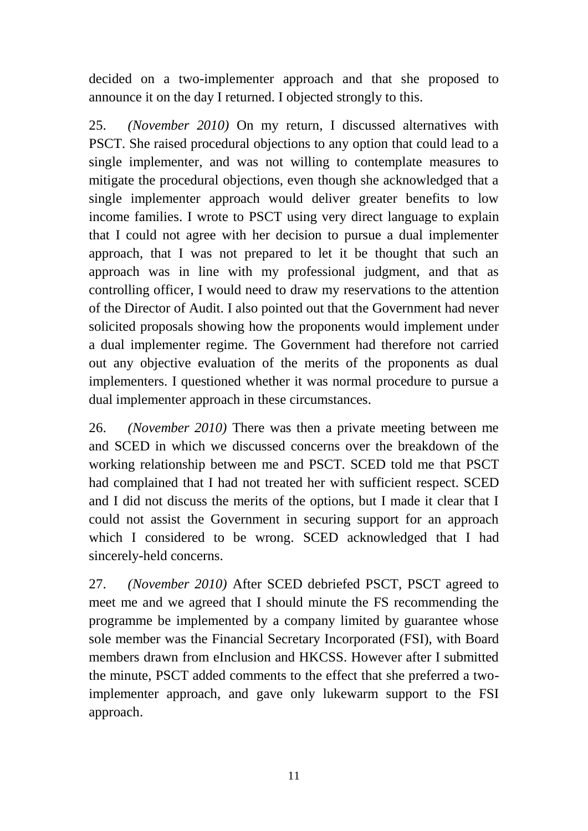decided on a two-implementer approach and that she proposed to announce it on the day I returned. I objected strongly to this.

25. *(November 2010)* On my return, I discussed alternatives with PSCT. She raised procedural objections to any option that could lead to a single implementer, and was not willing to contemplate measures to mitigate the procedural objections, even though she acknowledged that a single implementer approach would deliver greater benefits to low income families. I wrote to PSCT using very direct language to explain that I could not agree with her decision to pursue a dual implementer approach, that I was not prepared to let it be thought that such an approach was in line with my professional judgment, and that as controlling officer, I would need to draw my reservations to the attention of the Director of Audit. I also pointed out that the Government had never solicited proposals showing how the proponents would implement under a dual implementer regime. The Government had therefore not carried out any objective evaluation of the merits of the proponents as dual implementers. I questioned whether it was normal procedure to pursue a dual implementer approach in these circumstances.

26. *(November 2010)* There was then a private meeting between me and SCED in which we discussed concerns over the breakdown of the working relationship between me and PSCT. SCED told me that PSCT had complained that I had not treated her with sufficient respect. SCED and I did not discuss the merits of the options, but I made it clear that I could not assist the Government in securing support for an approach which I considered to be wrong. SCED acknowledged that I had sincerely-held concerns.

27. *(November 2010)* After SCED debriefed PSCT, PSCT agreed to meet me and we agreed that I should minute the FS recommending the programme be implemented by a company limited by guarantee whose sole member was the Financial Secretary Incorporated (FSI), with Board members drawn from eInclusion and HKCSS. However after I submitted the minute, PSCT added comments to the effect that she preferred a twoimplementer approach, and gave only lukewarm support to the FSI approach.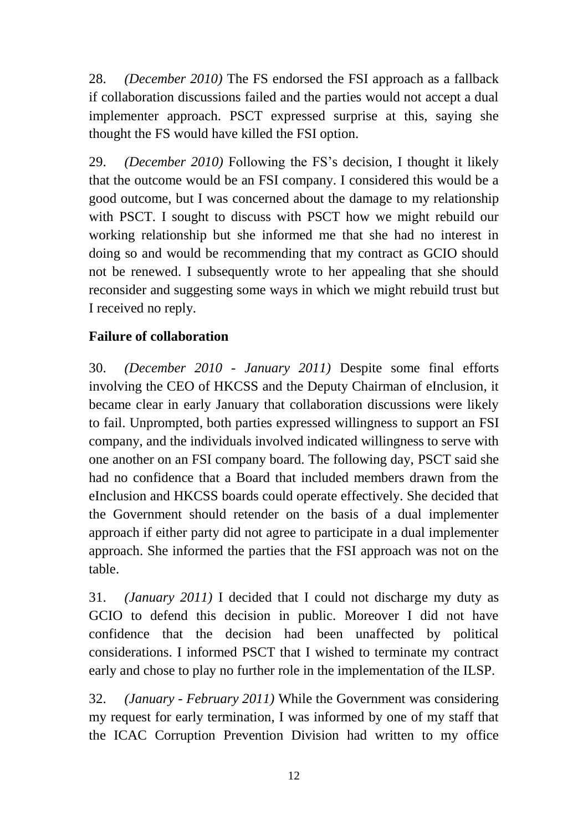28. *(December 2010)* The FS endorsed the FSI approach as a fallback if collaboration discussions failed and the parties would not accept a dual implementer approach. PSCT expressed surprise at this, saying she thought the FS would have killed the FSI option.

29. *(December 2010)* Following the FS's decision, I thought it likely that the outcome would be an FSI company. I considered this would be a good outcome, but I was concerned about the damage to my relationship with PSCT. I sought to discuss with PSCT how we might rebuild our working relationship but she informed me that she had no interest in doing so and would be recommending that my contract as GCIO should not be renewed. I subsequently wrote to her appealing that she should reconsider and suggesting some ways in which we might rebuild trust but I received no reply.

# **Failure of collaboration**

30. *(December 2010 - January 2011)* Despite some final efforts involving the CEO of HKCSS and the Deputy Chairman of eInclusion, it became clear in early January that collaboration discussions were likely to fail. Unprompted, both parties expressed willingness to support an FSI company, and the individuals involved indicated willingness to serve with one another on an FSI company board. The following day, PSCT said she had no confidence that a Board that included members drawn from the eInclusion and HKCSS boards could operate effectively. She decided that the Government should retender on the basis of a dual implementer approach if either party did not agree to participate in a dual implementer approach. She informed the parties that the FSI approach was not on the table.

31. *(January 2011)* I decided that I could not discharge my duty as GCIO to defend this decision in public. Moreover I did not have confidence that the decision had been unaffected by political considerations. I informed PSCT that I wished to terminate my contract early and chose to play no further role in the implementation of the ILSP.

32. *(January - February 2011)* While the Government was considering my request for early termination, I was informed by one of my staff that the ICAC Corruption Prevention Division had written to my office